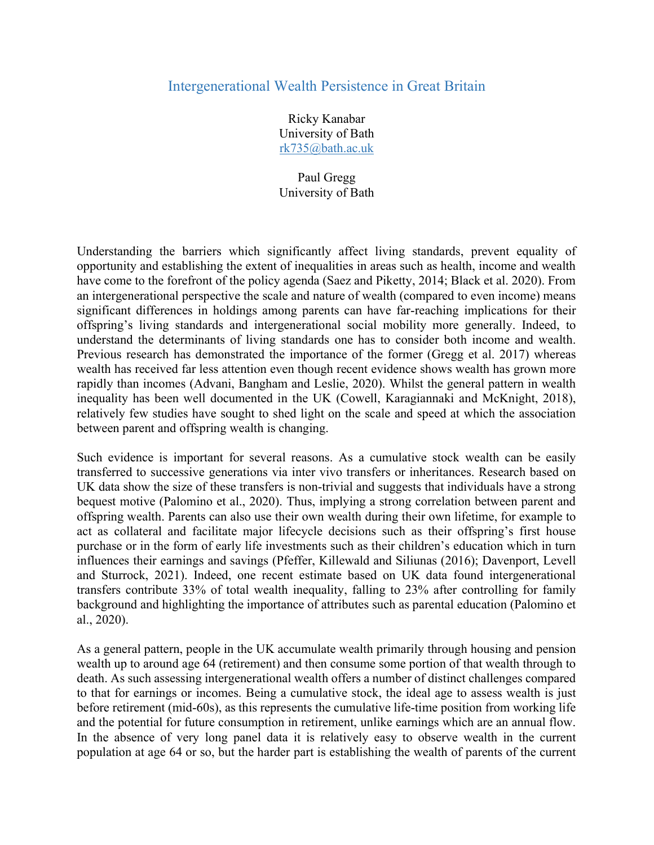## Intergenerational Wealth Persistence in Great Britain

Ricky Kanabar University of Bath rk735@bath.ac.uk

Paul Gregg University of Bath

Understanding the barriers which significantly affect living standards, prevent equality of opportunity and establishing the extent of inequalities in areas such as health, income and wealth have come to the forefront of the policy agenda (Saez and Piketty, 2014; Black et al. 2020). From an intergenerational perspective the scale and nature of wealth (compared to even income) means significant differences in holdings among parents can have far-reaching implications for their offspring's living standards and intergenerational social mobility more generally. Indeed, to understand the determinants of living standards one has to consider both income and wealth. Previous research has demonstrated the importance of the former (Gregg et al. 2017) whereas wealth has received far less attention even though recent evidence shows wealth has grown more rapidly than incomes (Advani, Bangham and Leslie, 2020). Whilst the general pattern in wealth inequality has been well documented in the UK (Cowell, Karagiannaki and McKnight, 2018), relatively few studies have sought to shed light on the scale and speed at which the association between parent and offspring wealth is changing.

Such evidence is important for several reasons. As a cumulative stock wealth can be easily transferred to successive generations via inter vivo transfers or inheritances. Research based on UK data show the size of these transfers is non-trivial and suggests that individuals have a strong bequest motive (Palomino et al., 2020). Thus, implying a strong correlation between parent and offspring wealth. Parents can also use their own wealth during their own lifetime, for example to act as collateral and facilitate major lifecycle decisions such as their offspring's first house purchase or in the form of early life investments such as their children's education which in turn influences their earnings and savings (Pfeffer, Killewald and Siliunas (2016); Davenport, Levell and Sturrock, 2021). Indeed, one recent estimate based on UK data found intergenerational transfers contribute 33% of total wealth inequality, falling to 23% after controlling for family background and highlighting the importance of attributes such as parental education (Palomino et al., 2020).

As a general pattern, people in the UK accumulate wealth primarily through housing and pension wealth up to around age 64 (retirement) and then consume some portion of that wealth through to death. As such assessing intergenerational wealth offers a number of distinct challenges compared to that for earnings or incomes. Being a cumulative stock, the ideal age to assess wealth is just before retirement (mid-60s), as this represents the cumulative life-time position from working life and the potential for future consumption in retirement, unlike earnings which are an annual flow. In the absence of very long panel data it is relatively easy to observe wealth in the current population at age 64 or so, but the harder part is establishing the wealth of parents of the current